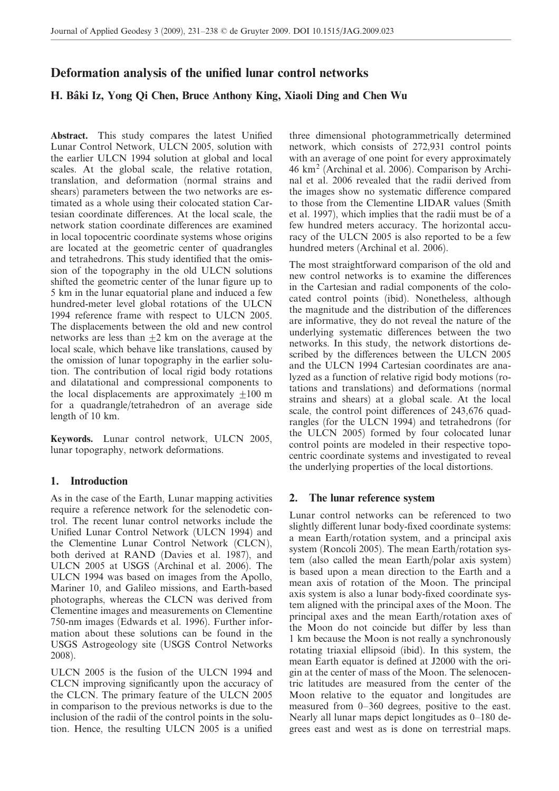# Deformation analysis of the unified lunar control networks

# H. Bâki Iz, Yong Qi Chen, Bruce Anthony King, Xiaoli Ding and Chen Wu

Abstract. This study compares the latest Unified Lunar Control Network, ULCN 2005, solution with the earlier ULCN 1994 solution at global and local scales. At the global scale, the relative rotation, translation, and deformation (normal strains and shears) parameters between the two networks are estimated as a whole using their colocated station Cartesian coordinate differences. At the local scale, the network station coordinate differences are examined in local topocentric coordinate systems whose origins are located at the geometric center of quadrangles and tetrahedrons. This study identified that the omission of the topography in the old ULCN solutions shifted the geometric center of the lunar figure up to 5 km in the lunar equatorial plane and induced a few hundred-meter level global rotations of the ULCN 1994 reference frame with respect to ULCN 2005. The displacements between the old and new control networks are less than  $\pm 2$  km on the average at the local scale, which behave like translations, caused by the omission of lunar topography in the earlier solution. The contribution of local rigid body rotations and dilatational and compressional components to the local displacements are approximately  $\pm 100$  m for a quadrangle/tetrahedron of an average side length of 10 km.

Keywords. Lunar control network, ULCN 2005, lunar topography, network deformations.

## 1. Introduction

As in the case of the Earth, Lunar mapping activities require a reference network for the selenodetic control. The recent lunar control networks include the Unified Lunar Control Network (ULCN 1994) and the Clementine Lunar Control Network (CLCN), both derived at RAND (Davies et al. 1987), and ULCN 2005 at USGS (Archinal et al. 2006). The ULCN 1994 was based on images from the Apollo, Mariner 10, and Galileo missions, and Earth-based photographs, whereas the CLCN was derived from Clementine images and measurements on Clementine 750-nm images (Edwards et al. 1996). Further information about these solutions can be found in the USGS Astrogeology site (USGS Control Networks 2008).

ULCN 2005 is the fusion of the ULCN 1994 and CLCN improving significantly upon the accuracy of the CLCN. The primary feature of the ULCN 2005 in comparison to the previous networks is due to the inclusion of the radii of the control points in the solution. Hence, the resulting ULCN 2005 is a unified three dimensional photogrammetrically determined network, which consists of 272,931 control points with an average of one point for every approximately 46 km<sup>2</sup> (Archinal et al. 2006). Comparison by Archinal et al. 2006 revealed that the radii derived from the images show no systematic difference compared to those from the Clementine LIDAR values (Smith et al. 1997), which implies that the radii must be of a few hundred meters accuracy. The horizontal accuracy of the ULCN 2005 is also reported to be a few hundred meters (Archinal et al. 2006).

The most straightforward comparison of the old and new control networks is to examine the differences in the Cartesian and radial components of the colocated control points (ibid). Nonetheless, although the magnitude and the distribution of the differences are informative, they do not reveal the nature of the underlying systematic differences between the two networks. In this study, the network distortions described by the differences between the ULCN 2005 and the ULCN 1994 Cartesian coordinates are analyzed as a function of relative rigid body motions (rotations and translations) and deformations (normal strains and shears) at a global scale. At the local scale, the control point differences of 243,676 quadrangles (for the ULCN 1994) and tetrahedrons (for the ULCN 2005) formed by four colocated lunar control points are modeled in their respective topocentric coordinate systems and investigated to reveal the underlying properties of the local distortions.

### 2. The lunar reference system

Lunar control networks can be referenced to two slightly different lunar body-fixed coordinate systems: a mean Earth/rotation system, and a principal axis system (Roncoli 2005). The mean Earth/rotation system (also called the mean Earth/polar axis system) is based upon a mean direction to the Earth and a mean axis of rotation of the Moon. The principal axis system is also a lunar body-fixed coordinate system aligned with the principal axes of the Moon. The principal axes and the mean Earth/rotation axes of the Moon do not coincide but differ by less than 1 km because the Moon is not really a synchronously rotating triaxial ellipsoid (ibid). In this system, the mean Earth equator is defined at J2000 with the origin at the center of mass of the Moon. The selenocentric latitudes are measured from the center of the Moon relative to the equator and longitudes are measured from 0–360 degrees, positive to the east. Nearly all lunar maps depict longitudes as 0–180 degrees east and west as is done on terrestrial maps.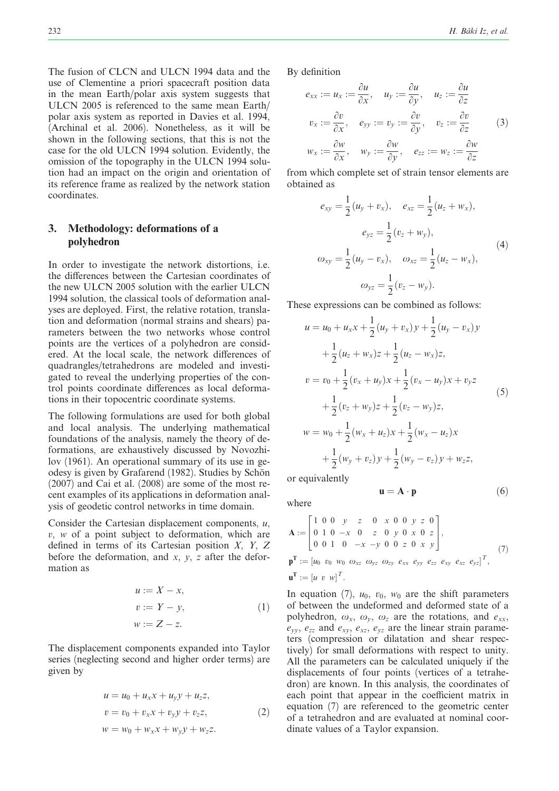The fusion of CLCN and ULCN 1994 data and the use of Clementine a priori spacecraft position data in the mean Earth/polar axis system suggests that ULCN 2005 is referenced to the same mean Earth/ polar axis system as reported in Davies et al. 1994, (Archinal et al. 2006). Nonetheless, as it will be shown in the following sections, that this is not the case for the old ULCN 1994 solution. Evidently, the omission of the topography in the ULCN 1994 solution had an impact on the origin and orientation of its reference frame as realized by the network station coordinates.

## 3. Methodology: deformations of a polyhedron

In order to investigate the network distortions, i.e. the differences between the Cartesian coordinates of the new ULCN 2005 solution with the earlier ULCN 1994 solution, the classical tools of deformation analyses are deployed. First, the relative rotation, translation and deformation (normal strains and shears) parameters between the two networks whose control points are the vertices of a polyhedron are considered. At the local scale, the network differences of quadrangles/tetrahedrons are modeled and investigated to reveal the underlying properties of the control points coordinate differences as local deformations in their topocentric coordinate systems.

The following formulations are used for both global and local analysis. The underlying mathematical foundations of the analysis, namely the theory of deformations, are exhaustively discussed by Novozhilov (1961). An operational summary of its use in geodesy is given by Grafarend (1982). Studies by Schön (2007) and Cai et al. (2008) are some of the most recent examples of its applications in deformation analysis of geodetic control networks in time domain.

Consider the Cartesian displacement components,  $u$ ,  $v, w$  of a point subject to deformation, which are defined in terms of its Cartesian position X, Y, Z before the deformation, and  $x$ ,  $y$ ,  $z$  after the deformation as

$$
u := X - x,
$$
  
\n
$$
v := Y - y,
$$
  
\n
$$
w := Z - z.
$$
\n(1)

The displacement components expanded into Taylor series (neglecting second and higher order terms) are given by

$$
u = u_0 + u_x x + u_y y + u_z z,
$$
  
\n
$$
v = v_0 + v_x x + v_y y + v_z z,
$$
  
\n
$$
w = w_0 + w_x x + w_y y + w_z z.
$$
\n(2)

By definition

$$
e_{xx} := u_x := \frac{\partial u}{\partial x}, \quad u_y := \frac{\partial u}{\partial y}, \quad u_z := \frac{\partial u}{\partial z}
$$
  

$$
v_x := \frac{\partial v}{\partial x}, \quad e_{yy} := v_y := \frac{\partial v}{\partial y}, \quad v_z := \frac{\partial v}{\partial z}
$$
  

$$
w_x := \frac{\partial w}{\partial x}, \quad w_y := \frac{\partial w}{\partial y}, \quad e_{zz} := w_z := \frac{\partial w}{\partial z}
$$
  
(3)

from which complete set of strain tensor elements are obtained as

$$
e_{xy} = \frac{1}{2} (u_y + v_x), \quad e_{xz} = \frac{1}{2} (u_z + w_x),
$$

$$
e_{yz} = \frac{1}{2} (v_z + w_y),
$$

$$
\omega_{xy} = \frac{1}{2} (u_y - v_x), \quad \omega_{xz} = \frac{1}{2} (u_z - w_x),
$$

$$
\omega_{yz} = \frac{1}{2} (v_z - w_y).
$$
(4)

These expressions can be combined as follows:

$$
u = u_0 + u_x x + \frac{1}{2} (u_y + v_x) y + \frac{1}{2} (u_y - v_x) y
$$
  
+  $\frac{1}{2} (u_z + w_x) z + \frac{1}{2} (u_z - w_x) z$ ,  

$$
v = v_0 + \frac{1}{2} (v_x + u_y) x + \frac{1}{2} (v_x - u_y) x + v_y z
$$
  
+  $\frac{1}{2} (v_z + w_y) z + \frac{1}{2} (v_z - w_y) z$ ,  

$$
w = w_0 + \frac{1}{2} (w_x + u_z) x + \frac{1}{2} (w_x - u_z) x
$$
  
+  $\frac{1}{2} (w_y + v_z) y + \frac{1}{2} (w_y - v_z) y + w_z z$ ,

or equivalently

where

$$
\mathbf{A} := \begin{bmatrix} 1 & 0 & 0 & y & z & 0 & x & 0 & 0 & y & z & 0 \\ 0 & 1 & 0 & -x & 0 & z & 0 & y & 0 & x & 0 & z \\ 0 & 0 & 1 & 0 & -x & -y & 0 & 0 & z & 0 & x & y \end{bmatrix},
$$
  

$$
\mathbf{p}^{\mathbf{T}} := [u_0 \ v_0 \ w_0 \ \omega_{xz} \ \omega_{yz} \ \omega_{zy} \ e_{xx} \ e_{yy} \ e_{zz} \ e_{xy} \ e_{xz} \ e_{yz}]^T,
$$
 (7)

 $\mathbf{u} = \mathbf{A} \cdot \mathbf{p}$ 

 $(6)$ 

$$
\mathbf{u}^{\mathrm{T}} := \begin{bmatrix} u & v & w \end{bmatrix}^T.
$$

In equation (7),  $u_0$ ,  $v_0$ ,  $w_0$  are the shift parameters of between the undeformed and deformed state of a polyhedron,  $\omega_x$ ,  $\omega_y$ ,  $\omega_z$  are the rotations, and  $e_{xx}$ ,  $e_{yy}$ ,  $e_{zz}$  and  $e_{xy}$ ,  $e_{xz}$ ,  $e_{yz}$  are the linear strain parameters (compression or dilatation and shear respectively) for small deformations with respect to unity. All the parameters can be calculated uniquely if the displacements of four points (vertices of a tetrahedron) are known. In this analysis, the coordinates of each point that appear in the coefficient matrix in equation (7) are referenced to the geometric center of a tetrahedron and are evaluated at nominal coordinate values of a Taylor expansion.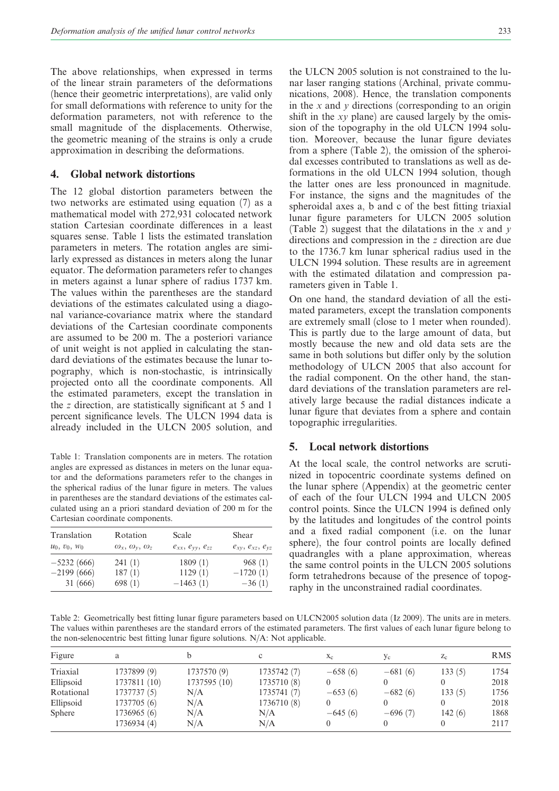The above relationships, when expressed in terms of the linear strain parameters of the deformations (hence their geometric interpretations), are valid only for small deformations with reference to unity for the deformation parameters, not with reference to the small magnitude of the displacements. Otherwise, the geometric meaning of the strains is only a crude approximation in describing the deformations.

#### 4. Global network distortions

The 12 global distortion parameters between the two networks are estimated using equation (7) as a mathematical model with 272,931 colocated network station Cartesian coordinate differences in a least squares sense. Table 1 lists the estimated translation parameters in meters. The rotation angles are similarly expressed as distances in meters along the lunar equator. The deformation parameters refer to changes in meters against a lunar sphere of radius 1737 km. The values within the parentheses are the standard deviations of the estimates calculated using a diagonal variance-covariance matrix where the standard deviations of the Cartesian coordinate components are assumed to be 200 m. The a posteriori variance of unit weight is not applied in calculating the standard deviations of the estimates because the lunar topography, which is non-stochastic, is intrinsically projected onto all the coordinate components. All the estimated parameters, except the translation in the z direction, are statistically significant at 5 and 1 percent significance levels. The ULCN 1994 data is already included in the ULCN 2005 solution, and

Table 1: Translation components are in meters. The rotation angles are expressed as distances in meters on the lunar equator and the deformations parameters refer to the changes in the spherical radius of the lunar figure in meters. The values in parentheses are the standard deviations of the estimates calculated using an a priori standard deviation of 200 m for the Cartesian coordinate components.

| Translation     | Rotation                             | Scale                    | Shear                    |  |
|-----------------|--------------------------------------|--------------------------|--------------------------|--|
| $u_0, v_0, w_0$ | $\omega_x$ , $\omega_y$ , $\omega_z$ | $e_{xx}, e_{yy}, e_{zz}$ | $e_{xy}, e_{xz}, e_{yz}$ |  |
| $-5232(666)$    | 241(1)                               | 1809(1)                  | 968(1)                   |  |
| $-2199(666)$    | 187(1)                               | 1129(1)                  | $-1720(1)$               |  |
| 31 (666)        | 698(1)                               | $-1463(1)$               | $-36(1)$                 |  |

the ULCN 2005 solution is not constrained to the lunar laser ranging stations (Archinal, private communications, 2008). Hence, the translation components in the  $x$  and  $y$  directions (corresponding to an origin shift in the xy plane) are caused largely by the omission of the topography in the old ULCN 1994 solution. Moreover, because the lunar figure deviates from a sphere (Table 2), the omission of the spheroidal excesses contributed to translations as well as deformations in the old ULCN 1994 solution, though the latter ones are less pronounced in magnitude. For instance, the signs and the magnitudes of the spheroidal axes a, b and c of the best fitting triaxial lunar figure parameters for ULCN 2005 solution (Table 2) suggest that the dilatations in the x and y directions and compression in the z direction are due to the 1736.7 km lunar spherical radius used in the ULCN 1994 solution. These results are in agreement with the estimated dilatation and compression parameters given in Table 1.

On one hand, the standard deviation of all the estimated parameters, except the translation components are extremely small (close to 1 meter when rounded). This is partly due to the large amount of data, but mostly because the new and old data sets are the same in both solutions but differ only by the solution methodology of ULCN 2005 that also account for the radial component. On the other hand, the standard deviations of the translation parameters are relatively large because the radial distances indicate a lunar figure that deviates from a sphere and contain topographic irregularities.

## 5. Local network distortions

At the local scale, the control networks are scrutinized in topocentric coordinate systems defined on the lunar sphere (Appendix) at the geometric center of each of the four ULCN 1994 and ULCN 2005 control points. Since the ULCN 1994 is defined only by the latitudes and longitudes of the control points and a fixed radial component (i.e. on the lunar sphere), the four control points are locally defined quadrangles with a plane approximation, whereas the same control points in the ULCN 2005 solutions form tetrahedrons because of the presence of topography in the unconstrained radial coordinates.

Table 2: Geometrically best fitting lunar figure parameters based on ULCN2005 solution data (Iz 2009). The units are in meters. The values within parentheses are the standard errors of the estimated parameters. The first values of each lunar figure belong to the non-selenocentric best fitting lunar figure solutions. N/A: Not applicable.

| Figure     | a            | <sub>b</sub> | c           | $X_{C}$   | Уc        | $Z_{\rm C}$ | <b>RMS</b> |
|------------|--------------|--------------|-------------|-----------|-----------|-------------|------------|
| Triaxial   | 1737899 (9)  | 1737570 (9)  | 1735742 (7) | $-658(6)$ | $-681(6)$ | 133 (5)     | 1754       |
| Ellipsoid  | 1737811 (10) | 1737595 (10) | 1735710 (8) |           |           |             | 2018       |
| Rotational | 1737737 (5)  | N/A          | 1735741 (7) | $-653(6)$ | $-682(6)$ | 133(5)      | 1756       |
| Ellipsoid  | 1737705 (6)  | $\rm N/A$    | 1736710 (8) |           |           |             | 2018       |
| Sphere     | 1736965 (6)  | N/A          | N/A         | $-645(6)$ | $-696(7)$ | 142(6)      | 1868       |
|            | 1736934 (4)  | N/A          | N/A         |           |           |             | 2117       |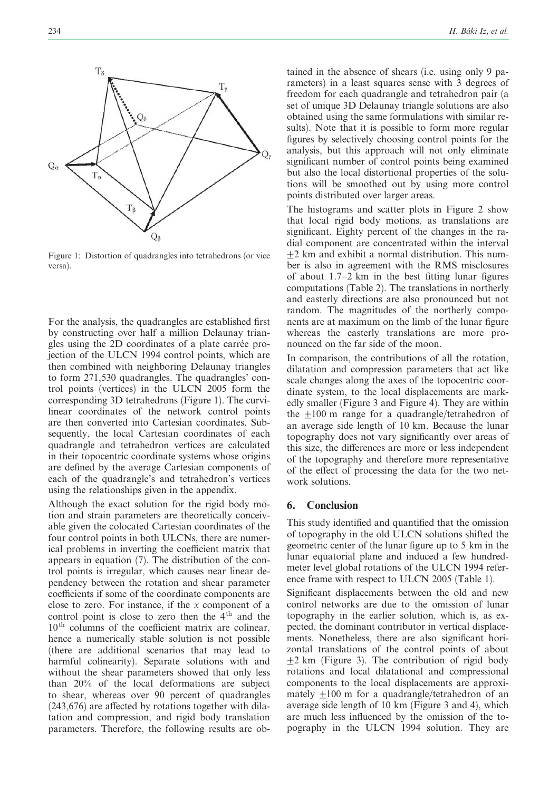

Figure 1: Distortion of quadrangles into tetrahedrons (or vice versa).

For the analysis, the quadrangles are established first by constructing over half a million Delaunay triangles using the 2D coordinates of a plate carrée projection of the ULCN 1994 control points, which are then combined with neighboring Delaunay triangles to form 271,530 quadrangles. The quadrangles' control points (vertices) in the ULCN 2005 form the corresponding 3D tetrahedrons (Figure 1). The curvilinear coordinates of the network control points are then converted into Cartesian coordinates. Subsequently, the local Cartesian coordinates of each quadrangle and tetrahedron vertices are calculated in their topocentric coordinate systems whose origins are defined by the average Cartesian components of each of the quadrangle's and tetrahedron's vertices using the relationships given in the appendix.

Although the exact solution for the rigid body motion and strain parameters are theoretically conceivable given the colocated Cartesian coordinates of the four control points in both ULCNs, there are numerical problems in inverting the coefficient matrix that appears in equation (7). The distribution of the control points is irregular, which causes near linear dependency between the rotation and shear parameter coefficients if some of the coordinate components are close to zero. For instance, if the  $x$  component of a control point is close to zero then the  $4<sup>th</sup>$  and the  $10<sup>th</sup>$  columns of the coefficient matrix are colinear, hence a numerically stable solution is not possible (there are additional scenarios that may lead to harmful colinearity). Separate solutions with and without the shear parameters showed that only less than 20% of the local deformations are subject to shear, whereas over 90 percent of quadrangles  $(243.676)$  are affected by rotations together with dilatation and compression, and rigid body translation parameters. Therefore, the following results are obtained in the absence of shears (i.e. using only 9 parameters) in a least squares sense with 3 degrees of freedom for each quadrangle and tetrahedron pair (a set of unique 3D Delaunay triangle solutions are also obtained using the same formulations with similar results). Note that it is possible to form more regular figures by selectively choosing control points for the analysis, but this approach will not only eliminate significant number of control points being examined but also the local distortional properties of the solutions will be smoothed out by using more control points distributed over larger areas.

The histograms and scatter plots in Figure 2 show that local rigid body motions, as translations are significant. Eighty percent of the changes in the radial component are concentrated within the interval  $\pm$ 2 km and exhibit a normal distribution. This number is also in agreement with the RMS misclosures of about 1.7–2 km in the best fitting lunar figures computations (Table 2). The translations in northerly and easterly directions are also pronounced but not random. The magnitudes of the northerly components are at maximum on the limb of the lunar figure whereas the easterly translations are more pronounced on the far side of the moon.

In comparison, the contributions of all the rotation, dilatation and compression parameters that act like scale changes along the axes of the topocentric coordinate system, to the local displacements are markedly smaller (Figure 3 and Figure 4). They are within the  $\pm 100$  m range for a quadrangle/tetrahedron of an average side length of 10 km. Because the lunar topography does not vary significantly over areas of this size, the differences are more or less independent of the topography and therefore more representative of the effect of processing the data for the two network solutions.

### 6. Conclusion

This study identified and quantified that the omission of topography in the old ULCN solutions shifted the geometric center of the lunar figure up to 5 km in the lunar equatorial plane and induced a few hundredmeter level global rotations of the ULCN 1994 reference frame with respect to ULCN 2005 (Table 1).

Significant displacements between the old and new control networks are due to the omission of lunar topography in the earlier solution, which is, as expected, the dominant contributor in vertical displacements. Nonetheless, there are also significant horizontal translations of the control points of about  $+2$  km (Figure 3). The contribution of rigid body rotations and local dilatational and compressional components to the local displacements are approximately  $\pm 100$  m for a quadrangle/tetrahedron of an average side length of 10 km (Figure 3 and 4), which are much less influenced by the omission of the topography in the ULCN 1994 solution. They are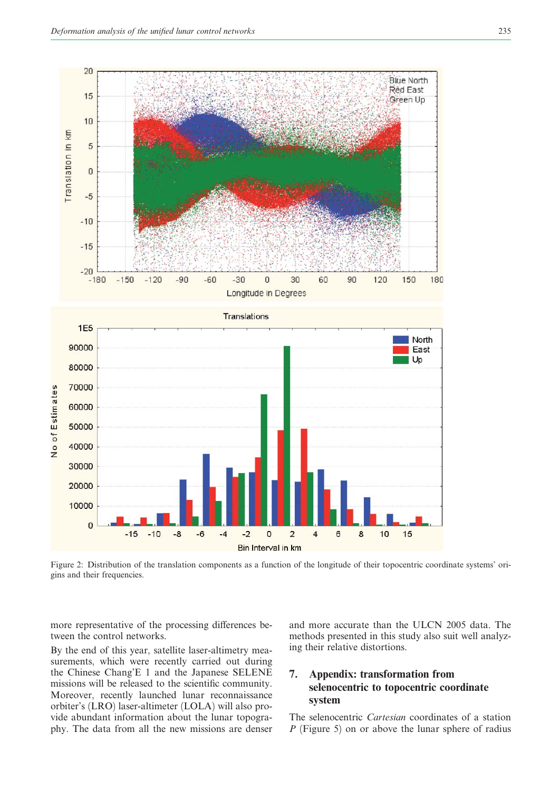

Figure 2: Distribution of the translation components as a function of the longitude of their topocentric coordinate systems' origins and their frequencies.

more representative of the processing differences between the control networks.

By the end of this year, satellite laser-altimetry measurements, which were recently carried out during the Chinese Chang'E 1 and the Japanese SELENE missions will be released to the scientific community. Moreover, recently launched lunar reconnaissance orbiter's (LRO) laser-altimeter (LOLA) will also provide abundant information about the lunar topography. The data from all the new missions are denser and more accurate than the ULCN 2005 data. The methods presented in this study also suit well analyzing their relative distortions.

# 7. Appendix: transformation from selenocentric to topocentric coordinate system

The selenocentric Cartesian coordinates of a station P (Figure 5) on or above the lunar sphere of radius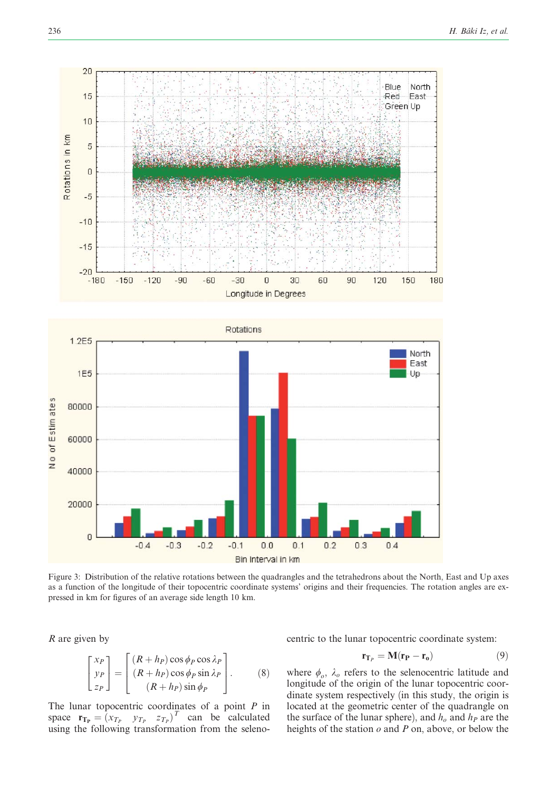



Figure 3: Distribution of the relative rotations between the quadrangles and the tetrahedrons about the North, East and Up axes as a function of the longitude of their topocentric coordinate systems' origins and their frequencies. The rotation angles are expressed in km for figures of an average side length 10 km.

R are given by

$$
\begin{bmatrix} x_P \\ y_P \\ z_P \end{bmatrix} = \begin{bmatrix} (R + h_P) \cos \phi_P \cos \lambda_P \\ (R + h_P) \cos \phi_P \sin \lambda_P \\ (R + h_P) \sin \phi_P \end{bmatrix} . \tag{8}
$$

The lunar topocentric coordinates of a point  $P$  in space  $\mathbf{r}_{\mathbf{T_P}} = \begin{bmatrix} x_{T_P} & y_{T_P} & z_{T_P} \end{bmatrix}^T$  can be calculated using the following transformation from the selenocentric to the lunar topocentric coordinate system:

$$
\mathbf{r}_{\mathbf{T}_P} = \mathbf{M}(\mathbf{r}_P - \mathbf{r}_o) \tag{9}
$$

where  $\phi_o$ ,  $\lambda_o$  refers to the selenocentric latitude and longitude of the origin of the lunar topocentric coordinate system respectively (in this study, the origin is located at the geometric center of the quadrangle on the surface of the lunar sphere), and  $h<sub>o</sub>$  and  $h<sub>P</sub>$  are the heights of the station  $o$  and  $P$  on, above, or below the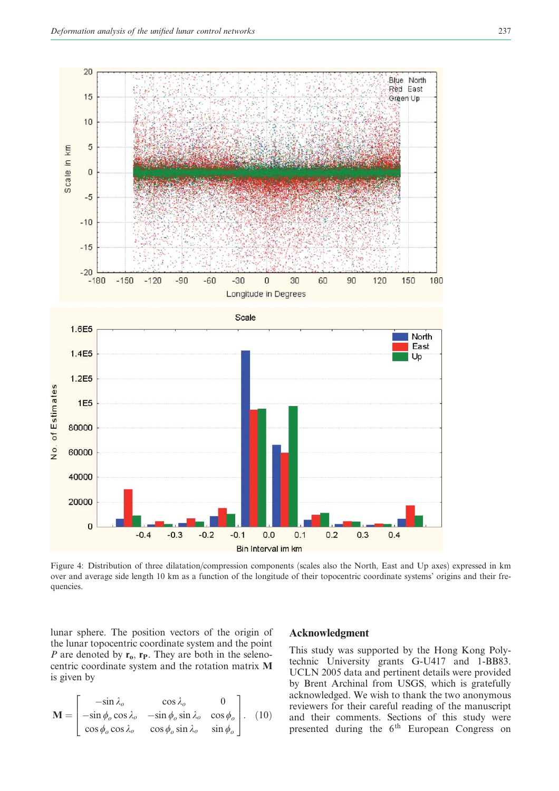

Figure 4: Distribution of three dilatation/compression components (scales also the North, East and Up axes) expressed in km over and average side length 10 km as a function of the longitude of their topocentric coordinate systems' origins and their frequencies.

lunar sphere. The position vectors of the origin of the lunar topocentric coordinate system and the point P are denoted by  $r_0$ ,  $r_P$ . They are both in the selenocentric coordinate system and the rotation matrix M is given by

$$
\mathbf{M} = \begin{bmatrix} -\sin \lambda_o & \cos \lambda_o & 0 \\ -\sin \phi_o \cos \lambda_o & -\sin \phi_o \sin \lambda_o & \cos \phi_o \\ \cos \phi_o \cos \lambda_o & \cos \phi_o \sin \lambda_o & \sin \phi_o \end{bmatrix} . (10)
$$

## Acknowledgment

This study was supported by the Hong Kong Polytechnic University grants G-U417 and 1-BB83. UCLN 2005 data and pertinent details were provided by Brent Archinal from USGS, which is gratefully acknowledged. We wish to thank the two anonymous reviewers for their careful reading of the manuscript and their comments. Sections of this study were presented during the  $6<sup>th</sup>$  European Congress on